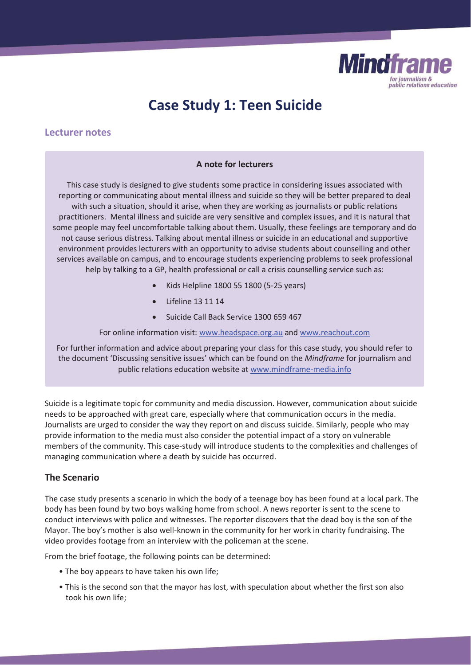

# **Case Study 1: Teen Suicide**

# **Lecturer notes**

# **A note for lecturers**

This case study is designed to give students some practice in considering issues associated with reporting or communicating about mental illness and suicide so they will be better prepared to deal with such a situation, should it arise, when they are working as journalists or public relations practitioners. Mental illness and suicide are very sensitive and complex issues, and it is natural that some people may feel uncomfortable talking about them. Usually, these feelings are temporary and do not cause serious distress. Talking about mental illness or suicide in an educational and supportive environment provides lecturers with an opportunity to advise students about counselling and other services available on campus, and to encourage students experiencing problems to seek professional help by talking to a GP, health professional or call a crisis counselling service such as:

- x Kids Helpline 1800 55 1800 (5-25 years)
- Lifeline 13 11 14
- Suicide Call Back Service 1300 659 467

For online information visit: www.headspace.org.au and www.reachout.com

For further information and advice about preparing your class for this case study, you should refer to the document 'Discussing sensitive issues' which can be found on the *Mindframe* for journalism and public relations education website at www.mindframe-media.info

Suicide is a legitimate topic for community and media discussion. However, communication about suicide needs to be approached with great care, especially where that communication occurs in the media. Journalists are urged to consider the way they report on and discuss suicide. Similarly, people who may provide information to the media must also consider the potential impact of a story on vulnerable members of the community. This case-study will introduce students to the complexities and challenges of managing communication where a death by suicide has occurred.

# **The Scenario**

The case study presents a scenario in which the body of a teenage boy has been found at a local park. The body has been found by two boys walking home from school. A news reporter is sent to the scene to conduct interviews with police and witnesses. The reporter discovers that the dead boy is the son of the Mayor. The boy's mother is also well-known in the community for her work in charity fundraising. The video provides footage from an interview with the policeman at the scene.

From the brief footage, the following points can be determined:

- The boy appears to have taken his own life;
- This is the second son that the mayor has lost, with speculation about whether the first son also took his own life;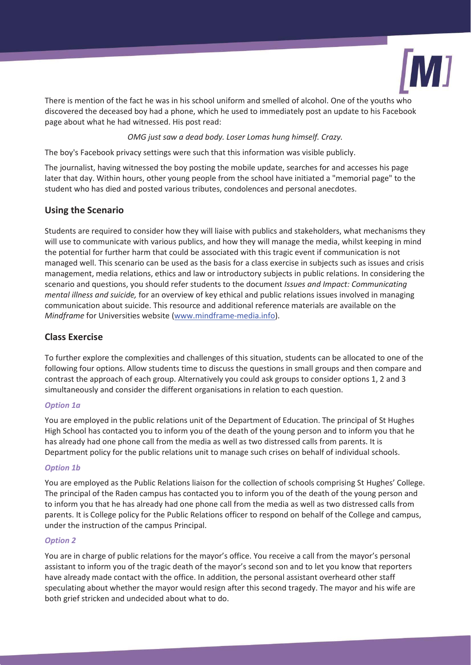

There is mention of the fact he was in his school uniform and smelled of alcohol. One of the youths who discovered the deceased boy had a phone, which he used to immediately post an update to his Facebook page about what he had witnessed. His post read:

*OMG just saw a dead body. Loser Lomas hung himself. Crazy.* 

The boy's Facebook privacy settings were such that this information was visible publicly.

The journalist, having witnessed the boy posting the mobile update, searches for and accesses his page later that day. Within hours, other young people from the school have initiated a "memorial page" to the student who has died and posted various tributes, condolences and personal anecdotes.

# **Using the Scenario**

Students are required to consider how they will liaise with publics and stakeholders, what mechanisms they will use to communicate with various publics, and how they will manage the media, whilst keeping in mind the potential for further harm that could be associated with this tragic event if communication is not managed well. This scenario can be used as the basis for a class exercise in subjects such as issues and crisis management, media relations, ethics and law or introductory subjects in public relations. In considering the scenario and questions, you should refer students to the document *Issues and Impact: Communicating mental illness and suicide,* for an overview of key ethical and public relations issues involved in managing communication about suicide. This resource and additional reference materials are available on the *Mindframe* for Universities website (www.mindframe-media.info).

# **Class Exercise**

To further explore the complexities and challenges of this situation, students can be allocated to one of the following four options. Allow students time to discuss the questions in small groups and then compare and contrast the approach of each group. Alternatively you could ask groups to consider options 1, 2 and 3 simultaneously and consider the different organisations in relation to each question.

#### *Option 1a*

You are employed in the public relations unit of the Department of Education. The principal of St Hughes High School has contacted you to inform you of the death of the young person and to inform you that he has already had one phone call from the media as well as two distressed calls from parents. It is Department policy for the public relations unit to manage such crises on behalf of individual schools.

#### *Option 1b*

You are employed as the Public Relations liaison for the collection of schools comprising St Hughes' College. The principal of the Raden campus has contacted you to inform you of the death of the young person and to inform you that he has already had one phone call from the media as well as two distressed calls from parents. It is College policy for the Public Relations officer to respond on behalf of the College and campus, under the instruction of the campus Principal.

#### *Option 2*

You are in charge of public relations for the mayor's office. You receive a call from the mayor's personal assistant to inform you of the tragic death of the mayor's second son and to let you know that reporters have already made contact with the office. In addition, the personal assistant overheard other staff speculating about whether the mayor would resign after this second tragedy. The mayor and his wife are both grief stricken and undecided about what to do.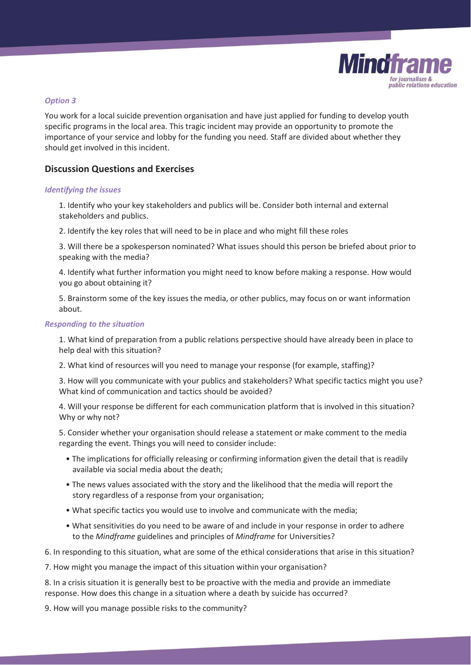

#### *Option 3*

You work for a local suicide prevention organisation and have just applied for funding to develop youth specific programs in the local area. This tragic incident may provide an opportunity to promote the importance of your service and lobby for the funding you need. Staff are divided about whether they should get involved in this incident.

## **Discussion Questions and Exercises**

#### *Identifying the issues*

1. Identify who your key stakeholders and publics will be. Consider both internal and external stakeholders and publics.

2. Identify the key roles that will need to be in place and who might fill these roles

3. Will there be a spokesperson nominated? What issues should this person be briefed about prior to speaking with the media?

4. Identify what further information you might need to know before making a response. How would you go about obtaining it?

5. Brainstorm some of the key issues the media, or other publics, may focus on or want information about.

#### *Responding to the situation*

1. What kind of preparation from a public relations perspective should have already been in place to help deal with this situation?

2. What kind of resources will you need to manage your response (for example, staffing)?

3. How will you communicate with your publics and stakeholders? What specific tactics might you use? What kind of communication and tactics should be avoided?

4. Will your response be different for each communication platform that is involved in this situation? Why or why not?

5. Consider whether your organisation should release a statement or make comment to the media regarding the event. Things you will need to consider include:

- The implications for officially releasing or confirming information given the detail that is readily available via social media about the death;
- The news values associated with the story and the likelihood that the media will report the story regardless of a response from your organisation;
- What specific tactics you would use to involve and communicate with the media;
- What sensitivities do you need to be aware of and include in your response in order to adhere to the *Mindframe* guidelines and principles of *Mindframe* for Universities?
- 6. In responding to this situation, what are some of the ethical considerations that arise in this situation?

7. How might you manage the impact of this situation within your organisation?

8. In a crisis situation it is generally best to be proactive with the media and provide an immediate response. How does this change in a situation where a death by suicide has occurred?

9. How will you manage possible risks to the community?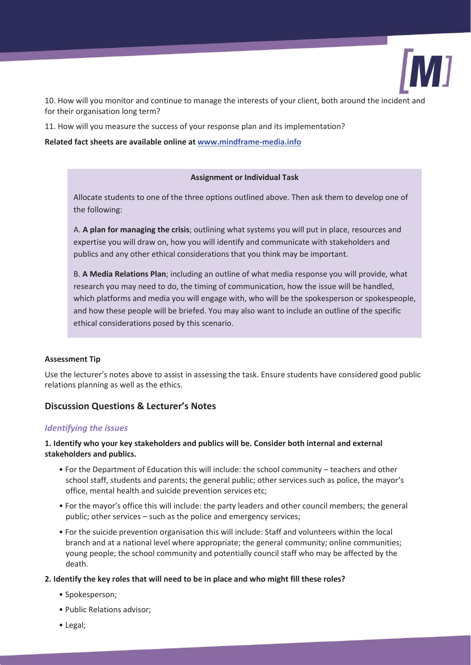

10. How will you monitor and continue to manage the interests of your client, both around the incident and for their organisation long term?

11. How will you measure the success of your response plan and its implementation?

**Related fact sheets are available online at www.mindframe-media.info** 

#### **Assignment or Individual Task**

Allocate students to one of the three options outlined above. Then ask them to develop one of the following:

A. **A plan for managing the crisis**; outlining what systems you will put in place, resources and expertise you will draw on, how you will identify and communicate with stakeholders and publics and any other ethical considerations that you think may be important.

B. **A Media Relations Plan**; including an outline of what media response you will provide, what research you may need to do, the timing of communication, how the issue will be handled, which platforms and media you will engage with, who will be the spokesperson or spokespeople, and how these people will be briefed. You may also want to include an outline of the specific ethical considerations posed by this scenario.

#### **Assessment Tip**

Use the lecturer's notes above to assist in assessing the task. Ensure students have considered good public relations planning as well as the ethics.

# **Discussion Questions & Lecturer's Notes**

#### *Identifying the issues*

## **1. Identify who your key stakeholders and publics will be. Consider both internal and external stakeholders and publics.**

- For the Department of Education this will include: the school community teachers and other school staff, students and parents; the general public; other services such as police, the mayor's office, mental health and suicide prevention services etc;
- For the mayor's office this will include: the party leaders and other council members; the general public; other services – such as the police and emergency services;
- For the suicide prevention organisation this will include: Staff and volunteers within the local branch and at a national level where appropriate; the general community; online communities; young people; the school community and potentially council staff who may be affected by the death.

#### **2. Identify the key roles that will need to be in place and who might fill these roles?**

- Spokesperson;
- Public Relations advisor;
- Legal;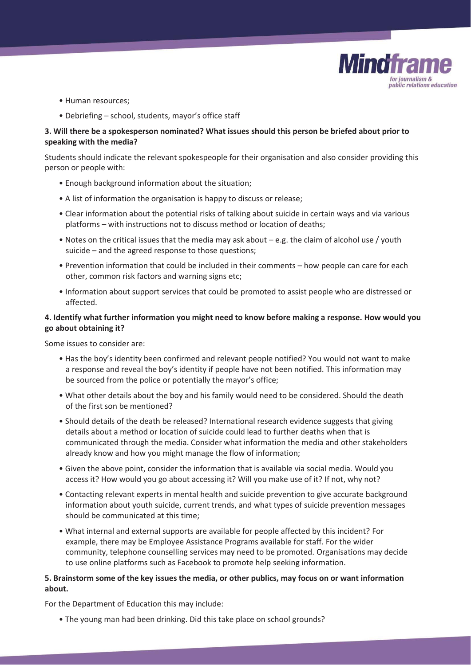

- Human resources;
- Debriefing school, students, mayor's office staff

# **3. Will there be a spokesperson nominated? What issues should this person be briefed about prior to speaking with the media?**

Students should indicate the relevant spokespeople for their organisation and also consider providing this person or people with:

- Enough background information about the situation;
- A list of information the organisation is happy to discuss or release;
- Clear information about the potential risks of talking about suicide in certain ways and via various platforms – with instructions not to discuss method or location of deaths;
- Notes on the critical issues that the media may ask about e.g. the claim of alcohol use / youth suicide – and the agreed response to those questions;
- Prevention information that could be included in their comments how people can care for each other, common risk factors and warning signs etc;
- Information about support services that could be promoted to assist people who are distressed or affected.

# **4. Identify what further information you might need to know before making a response. How would you go about obtaining it?**

Some issues to consider are:

- Has the boy's identity been confirmed and relevant people notified? You would not want to make a response and reveal the boy's identity if people have not been notified. This information may be sourced from the police or potentially the mayor's office;
- What other details about the boy and his family would need to be considered. Should the death of the first son be mentioned?
- Should details of the death be released? International research evidence suggests that giving details about a method or location of suicide could lead to further deaths when that is communicated through the media. Consider what information the media and other stakeholders already know and how you might manage the flow of information;
- Given the above point, consider the information that is available via social media. Would you access it? How would you go about accessing it? Will you make use of it? If not, why not?
- Contacting relevant experts in mental health and suicide prevention to give accurate background information about youth suicide, current trends, and what types of suicide prevention messages should be communicated at this time;
- What internal and external supports are available for people affected by this incident? For example, there may be Employee Assistance Programs available for staff. For the wider community, telephone counselling services may need to be promoted. Organisations may decide to use online platforms such as Facebook to promote help seeking information.

## **5. Brainstorm some of the key issues the media, or other publics, may focus on or want information about.**

For the Department of Education this may include:

• The young man had been drinking. Did this take place on school grounds?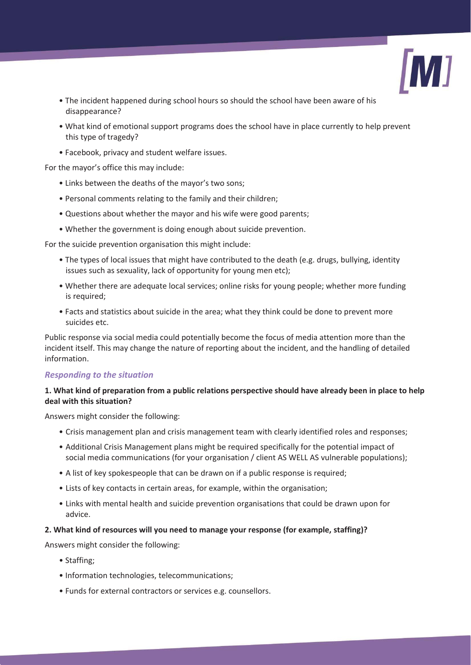

- The incident happened during school hours so should the school have been aware of his disappearance?
- What kind of emotional support programs does the school have in place currently to help prevent this type of tragedy?
- Facebook, privacy and student welfare issues.

For the mayor's office this may include:

- Links between the deaths of the mayor's two sons;
- Personal comments relating to the family and their children;
- Questions about whether the mayor and his wife were good parents;
- Whether the government is doing enough about suicide prevention.

For the suicide prevention organisation this might include:

- The types of local issues that might have contributed to the death (e.g. drugs, bullying, identity issues such as sexuality, lack of opportunity for young men etc);
- Whether there are adequate local services; online risks for young people; whether more funding is required;
- Facts and statistics about suicide in the area; what they think could be done to prevent more suicides etc.

Public response via social media could potentially become the focus of media attention more than the incident itself. This may change the nature of reporting about the incident, and the handling of detailed information.

#### *Responding to the situation*

# **1. What kind of preparation from a public relations perspective should have already been in place to help deal with this situation?**

Answers might consider the following:

- Crisis management plan and crisis management team with clearly identified roles and responses;
- Additional Crisis Management plans might be required specifically for the potential impact of social media communications (for your organisation / client AS WELL AS vulnerable populations);
- A list of key spokespeople that can be drawn on if a public response is required;
- Lists of key contacts in certain areas, for example, within the organisation;
- Links with mental health and suicide prevention organisations that could be drawn upon for advice.

#### **2. What kind of resources will you need to manage your response (for example, staffing)?**

Answers might consider the following:

- Staffing;
- Information technologies, telecommunications;
- Funds for external contractors or services e.g. counsellors.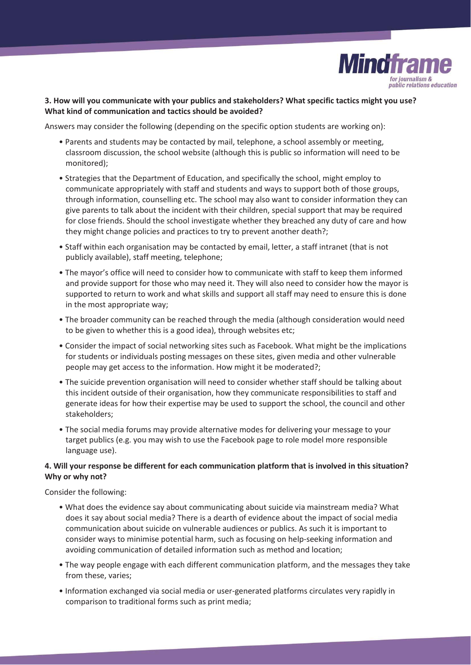

## **3. How will you communicate with your publics and stakeholders? What specific tactics might you use? What kind of communication and tactics should be avoided?**

Answers may consider the following (depending on the specific option students are working on):

- Parents and students may be contacted by mail, telephone, a school assembly or meeting, classroom discussion, the school website (although this is public so information will need to be monitored);
- Strategies that the Department of Education, and specifically the school, might employ to communicate appropriately with staff and students and ways to support both of those groups, through information, counselling etc. The school may also want to consider information they can give parents to talk about the incident with their children, special support that may be required for close friends. Should the school investigate whether they breached any duty of care and how they might change policies and practices to try to prevent another death?;
- Staff within each organisation may be contacted by email, letter, a staff intranet (that is not publicly available), staff meeting, telephone;
- The mayor's office will need to consider how to communicate with staff to keep them informed and provide support for those who may need it. They will also need to consider how the mayor is supported to return to work and what skills and support all staff may need to ensure this is done in the most appropriate way;
- The broader community can be reached through the media (although consideration would need to be given to whether this is a good idea), through websites etc;
- Consider the impact of social networking sites such as Facebook. What might be the implications for students or individuals posting messages on these sites, given media and other vulnerable people may get access to the information. How might it be moderated?;
- The suicide prevention organisation will need to consider whether staff should be talking about this incident outside of their organisation, how they communicate responsibilities to staff and generate ideas for how their expertise may be used to support the school, the council and other stakeholders;
- The social media forums may provide alternative modes for delivering your message to your target publics (e.g. you may wish to use the Facebook page to role model more responsible language use).

# **4. Will your response be different for each communication platform that is involved in this situation? Why or why not?**

Consider the following:

- What does the evidence say about communicating about suicide via mainstream media? What does it say about social media? There is a dearth of evidence about the impact of social media communication about suicide on vulnerable audiences or publics. As such it is important to consider ways to minimise potential harm, such as focusing on help-seeking information and avoiding communication of detailed information such as method and location;
- The way people engage with each different communication platform, and the messages they take from these, varies;
- Information exchanged via social media or user-generated platforms circulates very rapidly in comparison to traditional forms such as print media;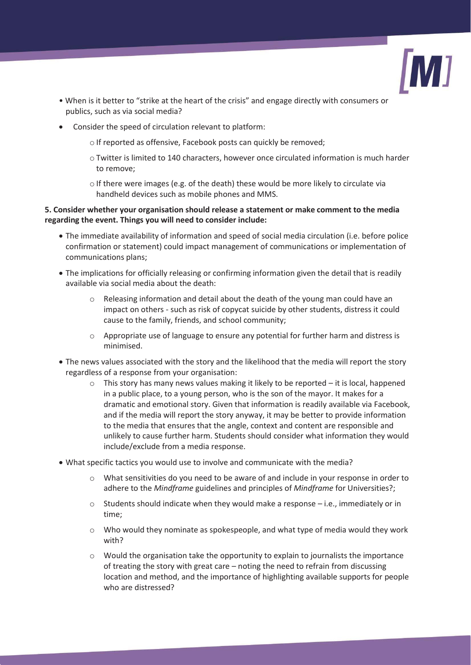

- When is it better to "strike at the heart of the crisis" and engage directly with consumers or publics, such as via social media?
- Consider the speed of circulation relevant to platform:
	- o If reported as offensive, Facebook posts can quickly be removed;
	- o Twitter is limited to 140 characters, however once circulated information is much harder to remove;
	- o If there were images (e.g. of the death) these would be more likely to circulate via handheld devices such as mobile phones and MMS.

## **5. Consider whether your organisation should release a statement or make comment to the media regarding the event. Things you will need to consider include:**

- The immediate availability of information and speed of social media circulation (i.e. before police confirmation or statement) could impact management of communications or implementation of communications plans;
- The implications for officially releasing or confirming information given the detail that is readily available via social media about the death:
	- $\circ$  Releasing information and detail about the death of the young man could have an impact on others - such as risk of copycat suicide by other students, distress it could cause to the family, friends, and school community;
	- $\circ$  Appropriate use of language to ensure any potential for further harm and distress is minimised.
- The news values associated with the story and the likelihood that the media will report the story regardless of a response from your organisation:
	- $\circ$  This story has many news values making it likely to be reported it is local, happened in a public place, to a young person, who is the son of the mayor. It makes for a dramatic and emotional story. Given that information is readily available via Facebook, and if the media will report the story anyway, it may be better to provide information to the media that ensures that the angle, context and content are responsible and unlikely to cause further harm. Students should consider what information they would include/exclude from a media response.
- What specific tactics you would use to involve and communicate with the media?
	- o What sensitivities do you need to be aware of and include in your response in order to adhere to the *Mindframe* guidelines and principles of *Mindframe* for Universities?;
	- $\circ$  Students should indicate when they would make a response  $-i.e.,$  immediately or in time;
	- $\circ$  Who would they nominate as spokespeople, and what type of media would they work with?
	- $\circ$  Would the organisation take the opportunity to explain to journalists the importance of treating the story with great care – noting the need to refrain from discussing location and method, and the importance of highlighting available supports for people who are distressed?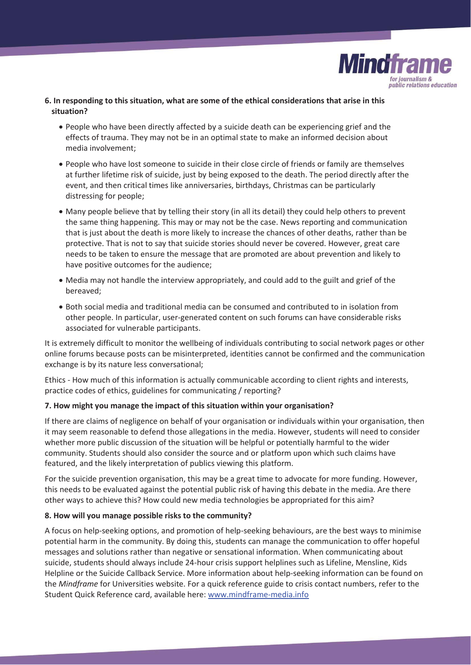

## **6. In responding to this situation, what are some of the ethical considerations that arise in this situation?**

- People who have been directly affected by a suicide death can be experiencing grief and the effects of trauma. They may not be in an optimal state to make an informed decision about media involvement;
- People who have lost someone to suicide in their close circle of friends or family are themselves at further lifetime risk of suicide, just by being exposed to the death. The period directly after the event, and then critical times like anniversaries, birthdays, Christmas can be particularly distressing for people;
- Many people believe that by telling their story (in all its detail) they could help others to prevent the same thing happening. This may or may not be the case. News reporting and communication that is just about the death is more likely to increase the chances of other deaths, rather than be protective. That is not to say that suicide stories should never be covered. However, great care needs to be taken to ensure the message that are promoted are about prevention and likely to have positive outcomes for the audience;
- Media may not handle the interview appropriately, and could add to the guilt and grief of the bereaved;
- x Both social media and traditional media can be consumed and contributed to in isolation from other people. In particular, user-generated content on such forums can have considerable risks associated for vulnerable participants.

It is extremely difficult to monitor the wellbeing of individuals contributing to social network pages or other online forums because posts can be misinterpreted, identities cannot be confirmed and the communication exchange is by its nature less conversational;

Ethics - How much of this information is actually communicable according to client rights and interests, practice codes of ethics, guidelines for communicating / reporting?

#### **7. How might you manage the impact of this situation within your organisation?**

If there are claims of negligence on behalf of your organisation or individuals within your organisation, then it may seem reasonable to defend those allegations in the media. However, students will need to consider whether more public discussion of the situation will be helpful or potentially harmful to the wider community. Students should also consider the source and or platform upon which such claims have featured, and the likely interpretation of publics viewing this platform.

For the suicide prevention organisation, this may be a great time to advocate for more funding. However, this needs to be evaluated against the potential public risk of having this debate in the media. Are there other ways to achieve this? How could new media technologies be appropriated for this aim?

#### **8. How will you manage possible risks to the community?**

A focus on help-seeking options, and promotion of help-seeking behaviours, are the best ways to minimise potential harm in the community. By doing this, students can manage the communication to offer hopeful messages and solutions rather than negative or sensational information. When communicating about suicide, students should always include 24-hour crisis support helplines such as Lifeline, Mensline, Kids Helpline or the Suicide Callback Service. More information about help-seeking information can be found on the *Mindframe* for Universities website. For a quick reference guide to crisis contact numbers, refer to the Student Quick Reference card, available here: www.mindframe-media.info